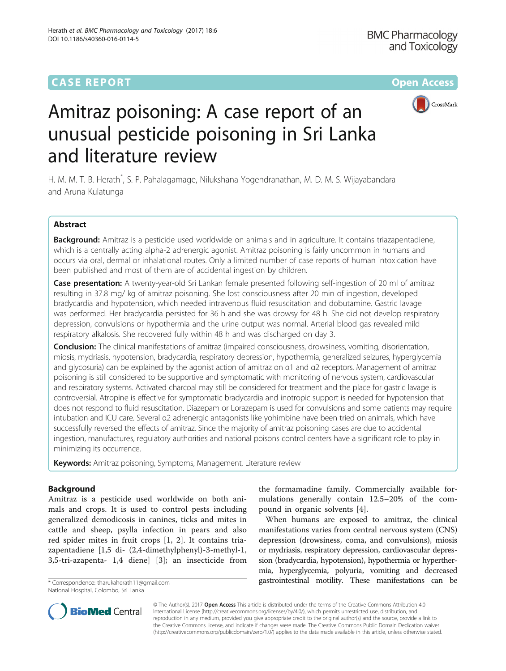# **CASE REPORT CASE ACCESS**



# Amitraz poisoning: A case report of an unusual pesticide poisoning in Sri Lanka and literature review

H. M. M. T. B. Herath\* , S. P. Pahalagamage, Nilukshana Yogendranathan, M. D. M. S. Wijayabandara and Aruna Kulatunga

# Abstract

Background: Amitraz is a pesticide used worldwide on animals and in agriculture. It contains triazapentadiene, which is a centrally acting alpha-2 adrenergic agonist. Amitraz poisoning is fairly uncommon in humans and occurs via oral, dermal or inhalational routes. Only a limited number of case reports of human intoxication have been published and most of them are of accidental ingestion by children.

Case presentation: A twenty-year-old Sri Lankan female presented following self-ingestion of 20 ml of amitraz resulting in 37.8 mg/ kg of amitraz poisoning. She lost consciousness after 20 min of ingestion, developed bradycardia and hypotension, which needed intravenous fluid resuscitation and dobutamine. Gastric lavage was performed. Her bradycardia persisted for 36 h and she was drowsy for 48 h. She did not develop respiratory depression, convulsions or hypothermia and the urine output was normal. Arterial blood gas revealed mild respiratory alkalosis. She recovered fully within 48 h and was discharged on day 3.

Conclusion: The clinical manifestations of amitraz (impaired consciousness, drowsiness, vomiting, disorientation, miosis, mydriasis, hypotension, bradycardia, respiratory depression, hypothermia, generalized seizures, hyperglycemia and glycosuria) can be explained by the agonist action of amitraz on α1 and α2 receptors. Management of amitraz poisoning is still considered to be supportive and symptomatic with monitoring of nervous system, cardiovascular and respiratory systems. Activated charcoal may still be considered for treatment and the place for gastric lavage is controversial. Atropine is effective for symptomatic bradycardia and inotropic support is needed for hypotension that does not respond to fluid resuscitation. Diazepam or Lorazepam is used for convulsions and some patients may require intubation and ICU care. Several α2 adrenergic antagonists like yohimbine have been tried on animals, which have successfully reversed the effects of amitraz. Since the majority of amitraz poisoning cases are due to accidental ingestion, manufactures, regulatory authorities and national poisons control centers have a significant role to play in minimizing its occurrence.

Keywords: Amitraz poisoning, Symptoms, Management, Literature review

# Background

Amitraz is a pesticide used worldwide on both animals and crops. It is used to control pests including generalized demodicosis in canines, ticks and mites in cattle and sheep, psylla infection in pears and also red spider mites in fruit crops [[1](#page-4-0), [2\]](#page-4-0). It contains triazapentadiene [1,5 di- (2,4-dimethylphenyl)-3-methyl-1, 3,5-tri-azapenta- 1,4 diene] [[3\]](#page-4-0); an insecticide from

National Hospital, Colombo, Sri Lanka

the formamadine family. Commercially available formulations generally contain 12.5–20% of the compound in organic solvents [[4](#page-4-0)].

When humans are exposed to amitraz, the clinical manifestations varies from central nervous system (CNS) depression (drowsiness, coma, and convulsions), miosis or mydriasis, respiratory depression, cardiovascular depression (bradycardia, hypotension), hypothermia or hyperthermia, hyperglycemia, polyuria, vomiting and decreased \*Correspondence: [tharukaherath11@gmail.com](mailto:tharukaherath11@gmail.com) **gastrointestinal motility.** These manifestations can be



© The Author(s). 2017 **Open Access** This article is distributed under the terms of the Creative Commons Attribution 4.0 International License [\(http://creativecommons.org/licenses/by/4.0/](http://creativecommons.org/licenses/by/4.0/)), which permits unrestricted use, distribution, and reproduction in any medium, provided you give appropriate credit to the original author(s) and the source, provide a link to the Creative Commons license, and indicate if changes were made. The Creative Commons Public Domain Dedication waiver [\(http://creativecommons.org/publicdomain/zero/1.0/](http://creativecommons.org/publicdomain/zero/1.0/)) applies to the data made available in this article, unless otherwise stated.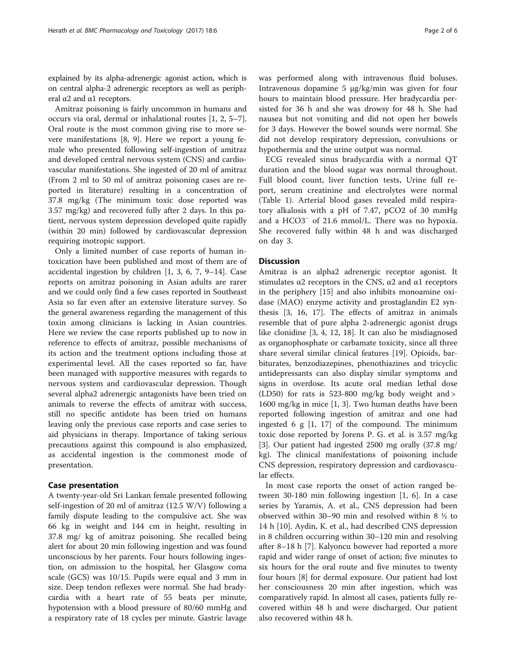explained by its alpha-adrenergic agonist action, which is on central alpha-2 adrenergic receptors as well as peripheral  $\alpha$ 2 and  $\alpha$ 1 receptors.

Amitraz poisoning is fairly uncommon in humans and occurs via oral, dermal or inhalational routes [[1, 2](#page-4-0), [5](#page-4-0)–[7](#page-4-0)]. Oral route is the most common giving rise to more severe manifestations [\[8, 9](#page-4-0)]. Here we report a young female who presented following self-ingestion of amitraz and developed central nervous system (CNS) and cardiovascular manifestations. She ingested of 20 ml of amitraz (From 2 ml to 50 ml of amitraz poisoning cases are reported in literature) resulting in a concentration of 37.8 mg/kg (The minimum toxic dose reported was 3.57 mg/kg) and recovered fully after 2 days. In this patient, nervous system depression developed quite rapidly (within 20 min) followed by cardiovascular depression requiring inotropic support.

Only a limited number of case reports of human intoxication have been published and most of them are of accidental ingestion by children [[1, 3, 6](#page-4-0), [7](#page-4-0), [9](#page-4-0)–[14\]](#page-4-0). Case reports on amitraz poisoning in Asian adults are rarer and we could only find a few cases reported in Southeast Asia so far even after an extensive literature survey. So the general awareness regarding the management of this toxin among clinicians is lacking in Asian countries. Here we review the case reports published up to now in reference to effects of amitraz, possible mechanisms of its action and the treatment options including those at experimental level. All the cases reported so far, have been managed with supportive measures with regards to nervous system and cardiovascular depression. Though several alpha2 adrenergic antagonists have been tried on animals to reverse the effects of amitraz with success, still no specific antidote has been tried on humans leaving only the previous case reports and case series to aid physicians in therapy. Importance of taking serious precautions against this compound is also emphasized, as accidental ingestion is the commonest mode of presentation.

# Case presentation

A twenty-year-old Sri Lankan female presented following self-ingestion of 20 ml of amitraz (12.5 W/V) following a family dispute leading to the compulsive act. She was 66 kg in weight and 144 cm in height, resulting in 37.8 mg/ kg of amitraz poisoning. She recalled being alert for about 20 min following ingestion and was found unconscious by her parents. Four hours following ingestion, on admission to the hospital, her Glasgow coma scale (GCS) was 10/15. Pupils were equal and 3 mm in size. Deep tendon reflexes were normal. She had bradycardia with a heart rate of 55 beats per minute, hypotension with a blood pressure of 80/60 mmHg and a respiratory rate of 18 cycles per minute. Gastric lavage was performed along with intravenous fluid boluses. Intravenous dopamine 5 μg/kg/min was given for four hours to maintain blood pressure. Her bradycardia persisted for 36 h and she was drowsy for 48 h. She had nausea but not vomiting and did not open her bowels for 3 days. However the bowel sounds were normal. She did not develop respiratory depression, convulsions or hypothermia and the urine output was normal.

ECG revealed sinus bradycardia with a normal QT duration and the blood sugar was normal throughout. Full blood count, liver function tests, Urine full report, serum creatinine and electrolytes were normal (Table [1\)](#page-2-0). Arterial blood gases revealed mild respiratory alkalosis with a pH of 7.47, pCO2 of 30 mmHg and a HCO3<sup>−</sup> of 21.6 mmol/L. There was no hypoxia. She recovered fully within 48 h and was discharged on day 3.

# **Discussion**

Amitraz is an alpha2 adrenergic receptor agonist. It stimulates α2 receptors in the CNS, α2 and α1 receptors in the periphery [[15](#page-4-0)] and also inhibits monoamine oxidase (MAO) enzyme activity and prostaglandin E2 synthesis [[3, 16, 17\]](#page-4-0). The effects of amitraz in animals resemble that of pure alpha 2-adrenergic agonist drugs like clonidine [\[3](#page-4-0), [4, 12](#page-4-0), [18\]](#page-4-0). It can also be misdiagnosed as organophosphate or carbamate toxicity, since all three share several similar clinical features [[19\]](#page-4-0). Opioids, barbiturates, benzodiazepines, phenothiazines and tricyclic antidepressants can also display similar symptoms and signs in overdose. Its acute oral median lethal dose (LD50) for rats is 523-800 mg/kg body weight and > 1600 mg/kg in mice [[1, 3\]](#page-4-0). Two human deaths have been reported following ingestion of amitraz and one had ingested 6 g  $[1, 17]$  $[1, 17]$  $[1, 17]$  of the compound. The minimum toxic dose reported by Jorens P. G. et al. is 3.57 mg/kg [[3\]](#page-4-0). Our patient had ingested 2500 mg orally (37.8 mg/ kg). The clinical manifestations of poisoning include CNS depression, respiratory depression and cardiovascular effects.

In most case reports the onset of action ranged between 30-180 min following ingestion [\[1](#page-4-0), [6\]](#page-4-0). In a case series by Yaramis, A. et al., CNS depression had been observed within 30–90 min and resolved within 8 ½ to 14 h [[10\]](#page-4-0). Aydin, K. et al., had described CNS depression in 8 children occurring within 30–120 min and resolving after 8–18 h [[7\]](#page-4-0). Kalyoncu however had reported a more rapid and wider range of onset of action; five minutes to six hours for the oral route and five minutes to twenty four hours [[8](#page-4-0)] for dermal exposure. Our patient had lost her consciousness 20 min after ingestion, which was comparatively rapid. In almost all cases, patients fully recovered within 48 h and were discharged. Our patient also recovered within 48 h.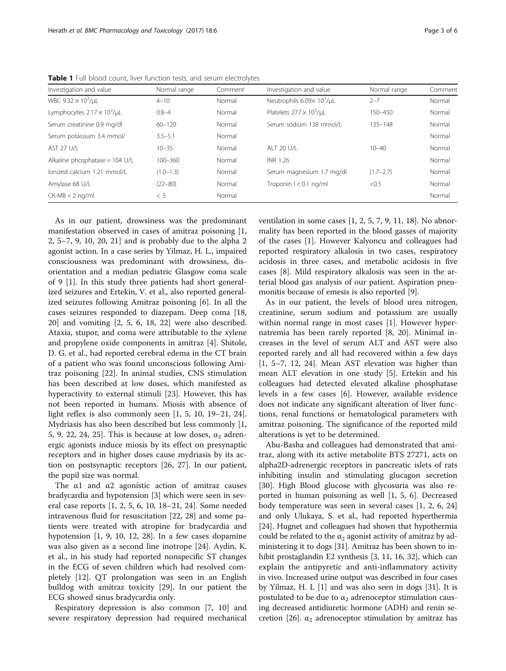| Investigation and value                  | Normal range  | Comment | Investigation and value              | Normal range  | Comment |
|------------------------------------------|---------------|---------|--------------------------------------|---------------|---------|
| WBC $9.32 \times 10^3/\mu$ L             | $4 - 10$      | Normal  | Neutrophils $6.09 \times 10^3/\mu$ L | $2 - 7$       | Normal  |
| Lymphocytes $2.17 \times 10^3$ /µL       | $0.8 - 4$     | Normal  | Platelets $277 \times 10^3/\mu$ L    | 150-450       | Normal  |
| Serum creatinine 0.9 mg/dl               | $60 - 120$    | Normal  | Serum sodium 138 mmol/L              | $135 - 148$   | Normal  |
| Serum potassium 3.4 mmol/                | $3.5 - 5.1$   | Normal  |                                      |               | Normal  |
| AST 27 U/L                               | $10 - 35$     | Normal  | AI T 20 U/L                          | $10 - 40$     | Normal  |
| Alkaline phosphatase = $104 \text{ U/L}$ | $100 - 360$   | Normal  | INR 1.26                             |               | Normal  |
| lonized calcium 1.21 mmol/L              | $(1.0 - 1.3)$ | Normal  | Serum magnesium 1.7 mg/dl            | $(1.7 - 2.7)$ | Normal  |
| Amylase 68 U/L                           | $(22 - 80)$   | Normal  | Troponin $1 < 0.1$ ng/ml             | < 0.5         | Normal  |
| $CK-MB < 2$ ng/ml                        | < 5           | Normal  |                                      |               | Normal  |

<span id="page-2-0"></span>Table 1 Full blood count, liver function tests, and serum electrolytes

As in our patient, drowsiness was the predominant manifestation observed in cases of amitraz poisoning [\[1](#page-4-0), [2, 5](#page-4-0)–[7, 9](#page-4-0), [10, 20](#page-4-0), [21\]](#page-4-0) and is probably due to the alpha 2 agonist action. In a case series by Yilmaz, H. L., impaired consciousness was predominant with drowsiness, disorientation and a median pediatric Glasgow coma scale of 9 [[1\]](#page-4-0). In this study three patients had short generalized seizures and Ertekin, V. et al., also reported generalized seizures following Amitraz poisoning [\[6\]](#page-4-0). In all the cases seizures responded to diazepam. Deep coma [[18](#page-4-0), [20\]](#page-4-0) and vomiting [\[2](#page-4-0), [5, 6](#page-4-0), [18, 22](#page-4-0)] were also described. Ataxia, stupor, and coma were attributable to the xylene and propylene oxide components in amitraz [[4\]](#page-4-0). Shitole, D. G. et al., had reported cerebral edema in the CT brain of a patient who was found unconscious following Amitraz poisoning [\[22](#page-4-0)]. In animal studies, CNS stimulation has been described at low doses, which manifested as hyperactivity to external stimuli [\[23\]](#page-4-0). However, this has not been reported in humans. Miosis with absence of light reflex is also commonly seen [[1, 5](#page-4-0), [10](#page-4-0), [19](#page-4-0)–[21, 24](#page-4-0)]. Mydriasis has also been described but less commonly [\[1](#page-4-0), [5, 9](#page-4-0), [22, 24](#page-4-0), [25](#page-4-0)]. This is because at low doses,  $\alpha_2$  adrenergic agonists induce miosis by its effect on presynaptic receptors and in higher doses cause mydriasis by its action on postsynaptic receptors [[26, 27\]](#page-4-0). In our patient, the pupil size was normal.

The  $\alpha$ 1 and  $\alpha$ 2 agonistic action of amitraz causes bradycardia and hypotension [\[3](#page-4-0)] which were seen in several case reports [[1](#page-4-0), [2, 5, 6](#page-4-0), [10](#page-4-0), [18](#page-4-0)–[21](#page-4-0), [24](#page-4-0)]. Some needed intravenous fluid for resuscitation [[22](#page-4-0), [28\]](#page-4-0) and some patients were treated with atropine for bradycardia and hypotension [[1, 9, 10](#page-4-0), [12](#page-4-0), [28](#page-4-0)]. In a few cases dopamine was also given as a second line inotrope [[24](#page-4-0)]. Aydin, K. et al., in his study had reported nonspecific ST changes in the ECG of seven children which had resolved completely [[12\]](#page-4-0). QT prolongation was seen in an English bulldog with amitraz toxicity [\[29](#page-4-0)]. In our patient the ECG showed sinus bradycardia only.

Respiratory depression is also common [\[7](#page-4-0), [10\]](#page-4-0) and severe respiratory depression had required mechanical ventilation in some cases [\[1](#page-4-0), [2](#page-4-0), [5](#page-4-0), [7](#page-4-0), [9, 11, 18\]](#page-4-0). No abnormality has been reported in the blood gasses of majority of the cases [[1\]](#page-4-0). However Kalyoncu and colleagues had reported respiratory alkalosis in two cases, respiratory acidosis in three cases, and metabolic acidosis in five cases [[8\]](#page-4-0). Mild respiratory alkalosis was seen in the arterial blood gas analysis of our patient. Aspiration pneumonitis because of emesis is also reported [\[9](#page-4-0)].

As in our patient, the levels of blood urea nitrogen, creatinine, serum sodium and potassium are usually within normal range in most cases [[1\]](#page-4-0). However hypernatremia has been rarely reported [[8, 20](#page-4-0)]. Minimal increases in the level of serum ALT and AST were also reported rarely and all had recovered within a few days [[1, 5](#page-4-0)–[7](#page-4-0), [12, 24](#page-4-0)]. Mean AST elevation was higher than mean ALT elevation in one study [[5\]](#page-4-0). Ertekin and his colleagues had detected elevated alkaline phosphatase levels in a few cases [\[6](#page-4-0)]. However, available evidence does not indicate any significant alteration of liver functions, renal functions or hematological parameters with amitraz poisoning. The significance of the reported mild alterations is yet to be determined.

Abu-Basha and colleagues had demonstrated that amitraz, along with its active metabolite BTS 27271, acts on alpha2D-adrenergic receptors in pancreatic islets of rats inhibiting insulin and stimulating glucagon secretion [[30\]](#page-4-0). High Blood glucose with glycosuria was also reported in human poisoning as well [\[1, 5](#page-4-0), [6](#page-4-0)]. Decreased body temperature was seen in several cases [\[1](#page-4-0), [2](#page-4-0), [6, 24](#page-4-0)] and only Ulukaya, S. et al., had reported hyperthermia [[24](#page-4-0)]. Hugnet and colleagues had shown that hypothermia could be related to the  $\alpha_2$  agonist activity of amitraz by administering it to dogs [[31](#page-4-0)]. Amitraz has been shown to inhibit prostaglandin E2 synthesis [\[3](#page-4-0), [11](#page-4-0), [16](#page-4-0), [32\]](#page-5-0), which can explain the antipyretic and anti-inflammatory activity in vivo. Increased urine output was described in four cases by Yilmaz, H. L [\[1](#page-4-0)] and was also seen in dogs [[31](#page-4-0)]. It is postulated to be due to  $\alpha_2$  adrenoceptor stimulation causing decreased antidiuretic hormone (ADH) and renin se-cretion [[26\]](#page-4-0).  $\alpha_2$  adrenoceptor stimulation by amitraz has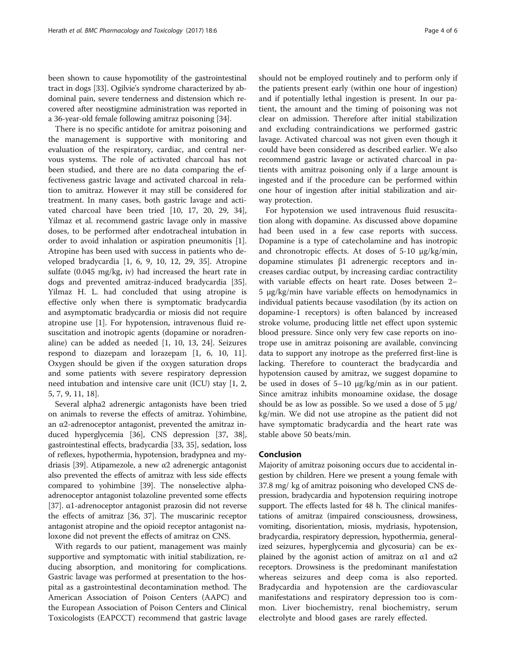been shown to cause hypomotility of the gastrointestinal tract in dogs [\[33\]](#page-5-0). Ogilvie's syndrome characterized by abdominal pain, severe tenderness and distension which recovered after neostigmine administration was reported in a 36-year-old female following amitraz poisoning [[34](#page-5-0)].

There is no specific antidote for amitraz poisoning and the management is supportive with monitoring and evaluation of the respiratory, cardiac, and central nervous systems. The role of activated charcoal has not been studied, and there are no data comparing the effectiveness gastric lavage and activated charcoal in relation to amitraz. However it may still be considered for treatment. In many cases, both gastric lavage and activated charcoal have been tried [\[10, 17, 20](#page-4-0), [29](#page-4-0), [34](#page-5-0)], Yilmaz et al. recommend gastric lavage only in massive doses, to be performed after endotracheal intubation in order to avoid inhalation or aspiration pneumonitis [\[1](#page-4-0)]. Atropine has been used with success in patients who developed bradycardia [\[1](#page-4-0), [6](#page-4-0), [9, 10, 12](#page-4-0), [29](#page-4-0), [35\]](#page-5-0). Atropine sulfate (0.045 mg/kg, iv) had increased the heart rate in dogs and prevented amitraz-induced bradycardia [\[35](#page-5-0)]. Yilmaz H. L. had concluded that using atropine is effective only when there is symptomatic bradycardia and asymptomatic bradycardia or miosis did not require atropine use [[1\]](#page-4-0). For hypotension, intravenous fluid resuscitation and inotropic agents (dopamine or noradrenaline) can be added as needed [[1, 10, 13](#page-4-0), [24](#page-4-0)]. Seizures respond to diazepam and lorazepam [[1, 6](#page-4-0), [10, 11](#page-4-0)]. Oxygen should be given if the oxygen saturation drops and some patients with severe respiratory depression need intubation and intensive care unit (ICU) stay [\[1, 2](#page-4-0), [5, 7, 9, 11](#page-4-0), [18](#page-4-0)].

Several alpha2 adrenergic antagonists have been tried on animals to reverse the effects of amitraz. Yohimbine, an α2-adrenoceptor antagonist, prevented the amitraz induced hyperglycemia [[36](#page-5-0)], CNS depression [[37](#page-5-0), [38](#page-5-0)], gastrointestinal effects, bradycardia [\[33, 35\]](#page-5-0), sedation, loss of reflexes, hypothermia, hypotension, bradypnea and mydriasis [[39](#page-5-0)]. Atipamezole, a new α2 adrenergic antagonist also prevented the effects of amitraz with less side effects compared to yohimbine [[39\]](#page-5-0). The nonselective alphaadrenoceptor antagonist tolazoline prevented some effects [[37](#page-5-0)]. α1-adrenoceptor antagonist prazosin did not reverse the effects of amitraz [\[36, 37\]](#page-5-0). The muscarinic receptor antagonist atropine and the opioid receptor antagonist naloxone did not prevent the effects of amitraz on CNS.

With regards to our patient, management was mainly supportive and symptomatic with initial stabilization, reducing absorption, and monitoring for complications. Gastric lavage was performed at presentation to the hospital as a gastrointestinal decontamination method. The American Association of Poison Centers (AAPC) and the European Association of Poison Centers and Clinical Toxicologists (EAPCCT) recommend that gastric lavage should not be employed routinely and to perform only if the patients present early (within one hour of ingestion) and if potentially lethal ingestion is present. In our patient, the amount and the timing of poisoning was not clear on admission. Therefore after initial stabilization and excluding contraindications we performed gastric lavage. Activated charcoal was not given even though it could have been considered as described earlier. We also recommend gastric lavage or activated charcoal in patients with amitraz poisoning only if a large amount is ingested and if the procedure can be performed within one hour of ingestion after initial stabilization and airway protection.

For hypotension we used intravenous fluid resuscitation along with dopamine. As discussed above dopamine had been used in a few case reports with success. Dopamine is a type of catecholamine and has inotropic and chronotropic effects. At doses of 5-10 μg/kg/min, dopamine stimulates β1 adrenergic receptors and increases cardiac output, by increasing cardiac contractility with variable effects on heart rate. Doses between 2– 5 μg/kg/min have variable effects on hemodynamics in individual patients because vasodilation (by its action on dopamine-1 receptors) is often balanced by increased stroke volume, producing little net effect upon systemic blood pressure. Since only very few case reports on inotrope use in amitraz poisoning are available, convincing data to support any inotrope as the preferred first-line is lacking. Therefore to counteract the bradycardia and hypotension caused by amitraz, we suggest dopamine to be used in doses of 5–10 μg/kg/min as in our patient. Since amitraz inhibits monoamine oxidase, the dosage should be as low as possible. So we used a dose of 5 μg/ kg/min. We did not use atropine as the patient did not have symptomatic bradycardia and the heart rate was stable above 50 beats/min.

# Conclusion

Majority of amitraz poisoning occurs due to accidental ingestion by children. Here we present a young female with 37.8 mg/ kg of amitraz poisoning who developed CNS depression, bradycardia and hypotension requiring inotrope support. The effects lasted for 48 h. The clinical manifestations of amitraz (impaired consciousness, drowsiness, vomiting, disorientation, miosis, mydriasis, hypotension, bradycardia, respiratory depression, hypothermia, generalized seizures, hyperglycemia and glycosuria) can be explained by the agonist action of amitraz on  $α1$  and  $α2$ receptors. Drowsiness is the predominant manifestation whereas seizures and deep coma is also reported. Bradycardia and hypotension are the cardiovascular manifestations and respiratory depression too is common. Liver biochemistry, renal biochemistry, serum electrolyte and blood gases are rarely effected.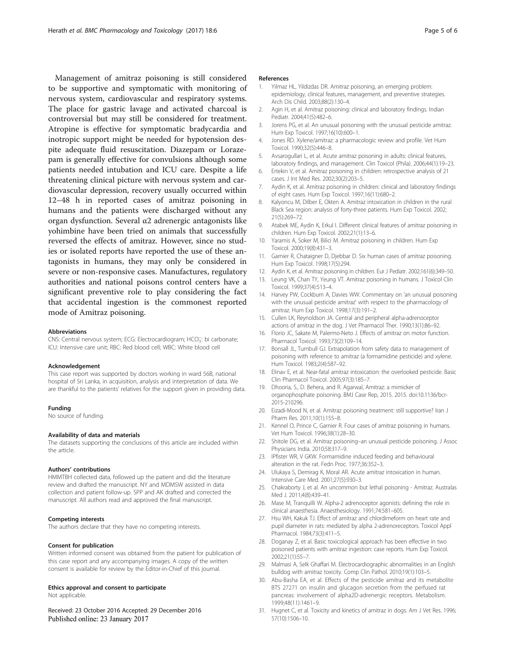<span id="page-4-0"></span>Management of amitraz poisoning is still considered to be supportive and symptomatic with monitoring of nervous system, cardiovascular and respiratory systems. The place for gastric lavage and activated charcoal is controversial but may still be considered for treatment. Atropine is effective for symptomatic bradycardia and inotropic support might be needed for hypotension despite adequate fluid resuscitation. Diazepam or Lorazepam is generally effective for convulsions although some patients needed intubation and ICU care. Despite a life threatening clinical picture with nervous system and cardiovascular depression, recovery usually occurred within 12–48 h in reported cases of amitraz poisoning in humans and the patients were discharged without any organ dysfunction. Several α2 adrenergic antagonists like yohimbine have been tried on animals that successfully reversed the effects of amitraz. However, since no studies or isolated reports have reported the use of these antagonists in humans, they may only be considered in severe or non-responsive cases. Manufactures, regulatory authorities and national poisons control centers have a significant preventive role to play considering the fact that accidental ingestion is the commonest reported mode of Amitraz poisoning.

## Abbreviations

CNS: Central nervous system; ECG: Electrocardiogram; HCO<sub>3</sub>: bi carbonate; ICU: Intensive care unit; RBC: Red blood cell; WBC: White blood cell

## Acknowledgement

This case report was supported by doctors working in ward 56B, national hospital of Sri Lanka, in acquisition, analysis and interpretation of data. We are thankful to the patients' relatives for the support given in providing data.

#### Funding

No source of funding.

## Availability of data and materials

The datasets supporting the conclusions of this article are included within the article.

### Authors' contributions

HMMTBH collected data, followed up the patient and did the literature review and drafted the manuscript. NY and MDMSW assisted in data collection and patient follow-up. SPP and AK drafted and corrected the manuscript. All authors read and approved the final manuscript.

# Competing interests

The authors declare that they have no competing interests.

# Consent for publication

Written informed consent was obtained from the patient for publication of this case report and any accompanying images. A copy of the written consent is available for review by the Editor-in-Chief of this journal.

## Ethics approval and consent to participate

Not applicable.

Received: 23 October 2016 Accepted: 29 December 2016 Published online: 23 January 2017

# References

- 1. Yilmaz HL, Yildizdas DR. Amitraz poisoning, an emerging problem: epidemiology, clinical features, management, and preventive strategies. Arch Dis Child. 2003;88(2):130–4.
- 2. Agin H, et al. Amitraz poisoning: clinical and laboratory findings. Indian Pediatr. 2004;41(5):482–6.
- 3. Jorens PG, et al. An unusual poisoning with the unusual pesticide amitraz. Hum Exp Toxicol. 1997;16(10):600–1.
- 4. Jones RD. Xylene/amitraz: a pharmacologic review and profile. Vet Hum Toxicol. 1990;32(5):446–8.
- 5. Avsarogullari L, et al. Acute amitraz poisoning in adults: clinical features, laboratory findings, and management. Clin Toxicol (Phila). 2006;44(1):19–23.
- 6. Ertekin V, et al. Amitraz poisoning in children: retrospective analysis of 21 cases. J Int Med Res. 2002;30(2):203–5.
- 7. Aydin K, et al. Amitraz poisoning in children: clinical and laboratory findings of eight cases. Hum Exp Toxicol. 1997;16(11):680–2.
- 8. Kalyoncu M, Dilber E, Okten A. Amitraz intoxication in children in the rural Black Sea region: analysis of forty-three patients. Hum Exp Toxicol. 2002; 21(5):269–72.
- 9. Atabek ME, Aydin K, Erkul I. Different clinical features of amitraz poisoning in children. Hum Exp Toxicol. 2002;21(1):13–6.
- 10. Yaramis A, Soker M, Bilici M. Amitraz poisoning in children. Hum Exp Toxicol. 2000;19(8):431–3.
- 11. Garnier R, Chataigner D, Djebbar D. Six human cases of amitraz poisoning. Hum Exp Toxicol. 1998;17(5):294.
- 12. Aydin K, et al. Amitraz poisoning in children. Eur J Pediatr. 2002;161(6):349–50.
- 13. Leung VK, Chan TY, Yeung VT. Amitraz poisoning in humans. J Toxicol Clin Toxicol. 1999;37(4):513–4.
- 14. Harvey PW, Cockburn A, Davies WW. Commentary on 'an unusual poisoning with the unusual pesticide amitraz' with respect to the pharmacology of amitraz. Hum Exp Toxicol. 1998;17(3):191–2.
- 15. Cullen LK, Reynoldson JA. Central and peripheral alpha-adrenoceptor actions of amitraz in the dog. J Vet Pharmacol Ther. 1990;13(1):86–92.
- 16. Florio JC, Sakate M, Palermo-Neto J. Effects of amitraz on motor function. Pharmacol Toxicol. 1993;73(2):109–14.
- 17. Bonsall JL, Turnbull GJ. Extrapolation from safety data to management of poisoning with reference to amitraz (a formamidine pesticide) and xylene. Hum Toxicol. 1983;2(4):587–92.
- 18. Elinav E, et al. Near-fatal amitraz intoxication: the overlooked pesticide. Basic Clin Pharmacol Toxicol. 2005;97(3):185–7.
- 19. Dhooria, S., D. Behera, and R. Agarwal, Amitraz: a mimicker of organophosphate poisoning. BMJ Case Rep, 2015. 2015. doi:[10.1136/bcr-](http://dx.doi.org/10.1136/bcr-2015-210296)[2015-210296.](http://dx.doi.org/10.1136/bcr-2015-210296)
- 20. Eizadi-Mood N, et al. Amitraz poisoning treatment: still supportive? Iran J Pharm Res. 2011;10(1):155–8.
- 21. Kennel O, Prince C, Garnier R. Four cases of amitraz poisoning in humans. Vet Hum Toxicol. 1996;38(1):28–30.
- 22. Shitole DG, et al. Amitraz poisoning–an unusual pesticide poisoning. J Assoc Physicians India. 2010;58:317–9.
- 23. IPfister WR, V GKW. Formamidine induced feeding and behavioural alteration in the rat. Fedn Proc. 1977;36:352–3.
- 24. Ulukaya S, Demirag K, Moral AR. Acute amitraz intoxication in human. Intensive Care Med. 2001;27(5):930–3.
- 25. Chakraborty J, et al. An uncommon but lethal poisoning Amitraz. Australas Med J. 2011;4(8):439–41.
- 26. Mase M, Tranquilli W. Alpha-2 adrenoceptor agonists: defining the role in clinical anaesthesia. Anaesthesiology. 1991;74:581–605.
- 27. Hsu WH, Kakuk TJ. Effect of amitraz and chlordimeform on heart rate and pupil diameter in rats: mediated by alpha 2-adrenoreceptors. Toxicol Appl Pharmacol. 1984;73(3):411–5.
- 28. Doganay Z, et al. Basic toxicological approach has been effective in two poisoned patients with amitraz ingestion: case reports. Hum Exp Toxicol. 2002;21(1):55–7.
- 29. Malmasi A, Selk Ghaffari M. Electrocardiographic abnormalities in an English bulldog with amitraz toxicity. Comp Clin Pathol. 2010;19(1):103–5.
- 30. Abu-Basha EA, et al. Effects of the pesticide amitraz and its metabolite BTS 27271 on insulin and glucagon secretion from the perfused rat pancreas: involvement of alpha2D-adrenergic receptors. Metabolism. 1999;48(11):1461–9.
- 31. Hugnet C, et al. Toxicity and kinetics of amitraz in dogs. Am J Vet Res. 1996; 57(10):1506–10.